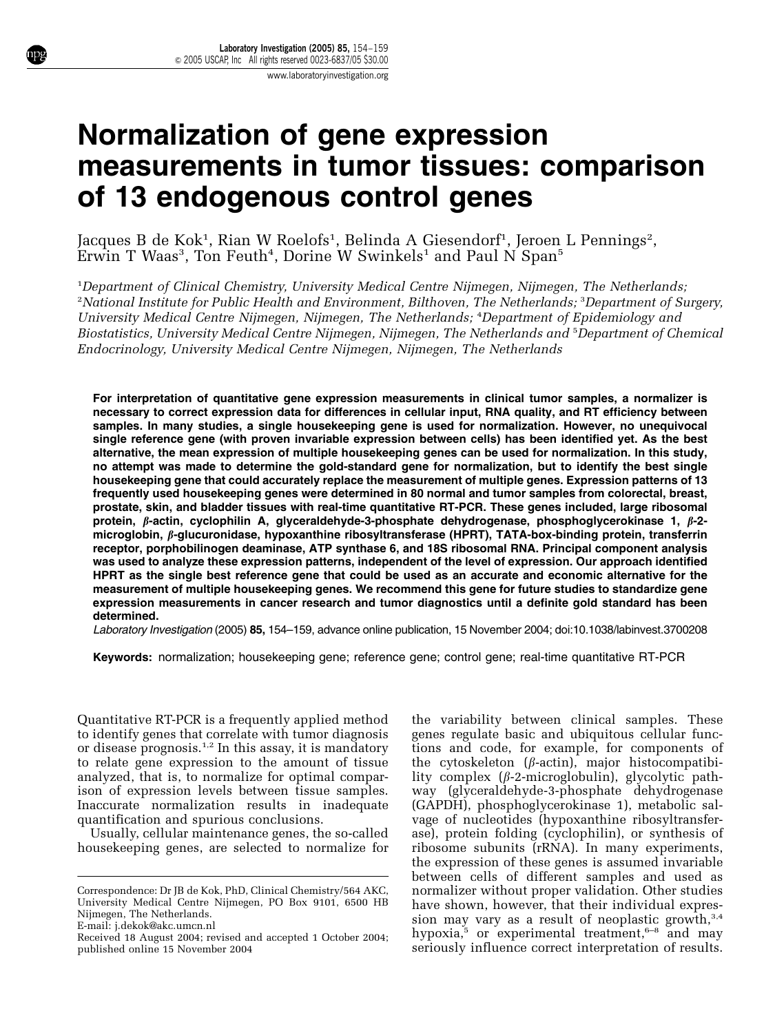# Normalization of gene expression measurements in tumor tissues: comparison of 13 endogenous control genes

Jacques B de Kok<sup>1</sup>, Rian W Roelofs<sup>1</sup>, Belinda A Giesendorf<sup>1</sup>, Jeroen L Pennings<sup>2</sup>,<br>Erwin T Waas<sup>3</sup>, Ton Feuth<sup>4</sup>, Dorine W Swinkels<sup>1</sup> and Paul N Span<sup>5</sup> , Ton Feuth $^4$ , Dorine W Swinkels $^{\rm 1}$  and Paul N Span $^{\rm 5}$ 

<sup>1</sup>Department of Clinical Chemistry, University Medical Centre Nijmegen, Nijmegen, The Netherlands; <sup>2</sup>National Institute for Public Health and Environment, Bilthoven, The Netherlands; <sup>3</sup>Department of Surgery, University Medical Centre Nijmegen, Nijmegen, The Netherlands; <sup>4</sup>Department of Epidemiology and Biostatistics, University Medical Centre Nijmegen, Nijmegen, The Netherlands and <sup>5</sup>Department of Chemical Endocrinology, University Medical Centre Nijmegen, Nijmegen, The Netherlands

For interpretation of quantitative gene expression measurements in clinical tumor samples, a normalizer is necessary to correct expression data for differences in cellular input, RNA quality, and RT efficiency between samples. In many studies, a single housekeeping gene is used for normalization. However, no unequivocal single reference gene (with proven invariable expression between cells) has been identified yet. As the best alternative, the mean expression of multiple housekeeping genes can be used for normalization. In this study, no attempt was made to determine the gold-standard gene for normalization, but to identify the best single housekeeping gene that could accurately replace the measurement of multiple genes. Expression patterns of 13 frequently used housekeeping genes were determined in 80 normal and tumor samples from colorectal, breast, prostate, skin, and bladder tissues with real-time quantitative RT-PCR. These genes included, large ribosomal protein,  $\beta$ -actin, cyclophilin A, glyceraldehyde-3-phosphate dehydrogenase, phosphoglycerokinase 1,  $\beta$ -2microglobin,  $\beta$ -glucuronidase, hypoxanthine ribosyltransferase (HPRT), TATA-box-binding protein, transferrin receptor, porphobilinogen deaminase, ATP synthase 6, and 18S ribosomal RNA. Principal component analysis was used to analyze these expression patterns, independent of the level of expression. Our approach identified HPRT as the single best reference gene that could be used as an accurate and economic alternative for the measurement of multiple housekeeping genes. We recommend this gene for future studies to standardize gene expression measurements in cancer research and tumor diagnostics until a definite gold standard has been determined.

Laboratory Investigation (2005) 85, 154–159, advance online publication, 15 November 2004; doi:10.1038/labinvest.3700208

Keywords: normalization; housekeeping gene; reference gene; control gene; real-time quantitative RT-PCR

Quantitative RT-PCR is a frequently applied method to identify genes that correlate with tumor diagnosis or disease prognosis.<sup>1,2</sup> In this assay, it is mandatory to relate gene expression to the amount of tissue analyzed, that is, to normalize for optimal comparison of expression levels between tissue samples. Inaccurate normalization results in inadequate quantification and spurious conclusions.

Usually, cellular maintenance genes, the so-called housekeeping genes, are selected to normalize for

the variability between clinical samples. These genes regulate basic and ubiquitous cellular functions and code, for example, for components of the cytoskeleton  $(\beta$ -actin), major histocompatibility complex  $(\beta$ -2-microglobulin), glycolytic pathway (glyceraldehyde-3-phosphate dehydrogenase (GAPDH), phosphoglycerokinase 1), metabolic salvage of nucleotides (hypoxanthine ribosyltransferase), protein folding (cyclophilin), or synthesis of ribosome subunits (rRNA). In many experiments, the expression of these genes is assumed invariable between cells of different samples and used as normalizer without proper validation. Other studies have shown, however, that their individual expression may vary as a result of neoplastic growth, $3,4$ hypoxia, $5$  or experimental treatment, $6-8$  and may Received 18 August 2004; revised and accepted 1 October 2004; hypoxia,<sup>5</sup> or experimental treatment,<sup>6-6</sup> and may<br>seriously influence correct interpretation of results.

Correspondence: Dr JB de Kok, PhD, Clinical Chemistry/564 AKC, University Medical Centre Nijmegen, PO Box 9101, 6500 HB Nijmegen, The Netherlands. E-mail: j.dekok@akc.umcn.nl

published online 15 November 2004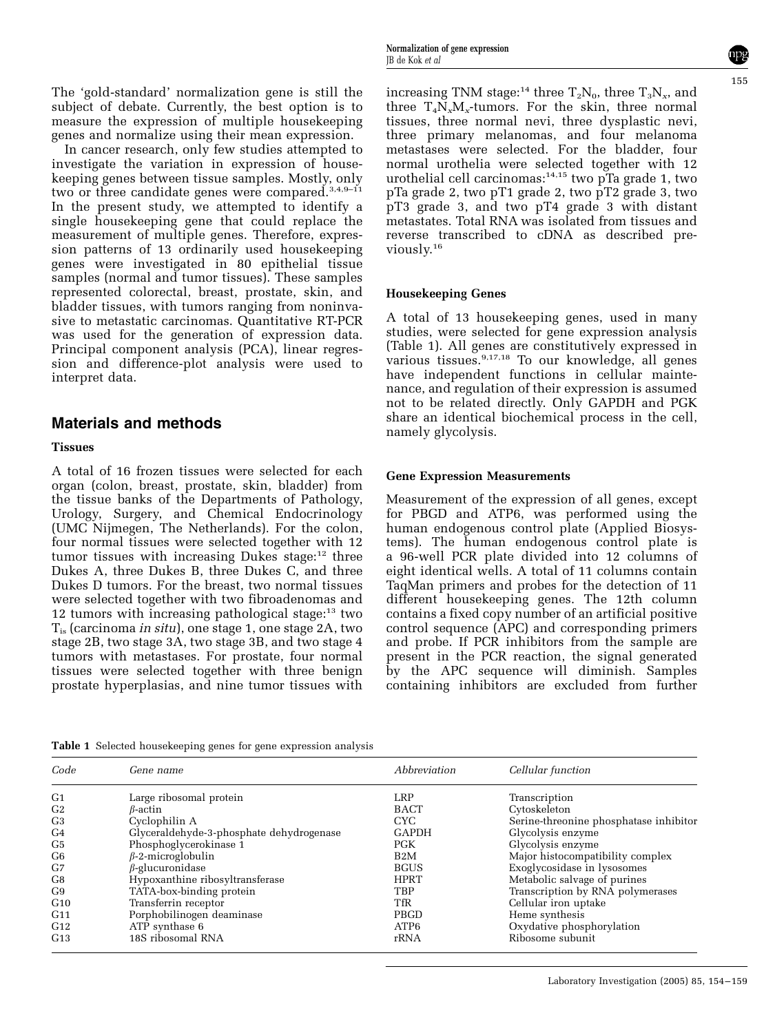The 'gold-standard' normalization gene is still the subject of debate. Currently, the best option is to measure the expression of multiple housekeeping genes and normalize using their mean expression.

In cancer research, only few studies attempted to investigate the variation in expression of housekeeping genes between tissue samples. Mostly, only two or three candidate genes were compared.<sup>3,4,9–11</sup> In the present study, we attempted to identify a single housekeeping gene that could replace the measurement of multiple genes. Therefore, expression patterns of 13 ordinarily used housekeeping genes were investigated in 80 epithelial tissue samples (normal and tumor tissues). These samples represented colorectal, breast, prostate, skin, and bladder tissues, with tumors ranging from noninvasive to metastatic carcinomas. Quantitative RT-PCR was used for the generation of expression data. Principal component analysis (PCA), linear regression and difference-plot analysis were used to interpret data.

#### Materials and methods

#### Tissues

A total of 16 frozen tissues were selected for each organ (colon, breast, prostate, skin, bladder) from the tissue banks of the Departments of Pathology, Urology, Surgery, and Chemical Endocrinology (UMC Nijmegen, The Netherlands). For the colon, four normal tissues were selected together with 12 tumor tissues with increasing Dukes stage: $12$  three Dukes A, three Dukes B, three Dukes C, and three Dukes D tumors. For the breast, two normal tissues were selected together with two fibroadenomas and 12 tumors with increasing pathological stage: $13$  two  $T_{is}$  (carcinoma *in situ*), one stage 1, one stage 2A, two stage 2B, two stage 3A, two stage 3B, and two stage 4 tumors with metastases. For prostate, four normal tissues were selected together with three benign prostate hyperplasias, and nine tumor tissues with

increasing TNM stage:<sup>14</sup> three  $T_2N_0$ , three  $T_3N_x$ , and three  $T_4N_xM_x$ -tumors. For the skin, three normal tissues, three normal nevi, three dysplastic nevi, three primary melanomas, and four melanoma metastases were selected. For the bladder, four normal urothelia were selected together with 12 urothelial cell carcinomas: $14,15$  two pTa grade 1, two pTa grade 2, two pT1 grade 2, two pT2 grade 3, two pT3 grade 3, and two pT4 grade 3 with distant metastates. Total RNA was isolated from tissues and reverse transcribed to cDNA as described previously.<sup>16</sup>

#### Housekeeping Genes

A total of 13 housekeeping genes, used in many studies, were selected for gene expression analysis (Table 1). All genes are constitutively expressed in various tissues.9,17,18 To our knowledge, all genes have independent functions in cellular maintenance, and regulation of their expression is assumed not to be related directly. Only GAPDH and PGK share an identical biochemical process in the cell, namely glycolysis.

#### Gene Expression Measurements

Measurement of the expression of all genes, except for PBGD and ATP6, was performed using the human endogenous control plate (Applied Biosystems). The human endogenous control plate is a 96-well PCR plate divided into 12 columns of eight identical wells. A total of 11 columns contain TaqMan primers and probes for the detection of 11 different housekeeping genes. The 12th column contains a fixed copy number of an artificial positive control sequence (APC) and corresponding primers and probe. If PCR inhibitors from the sample are present in the PCR reaction, the signal generated by the APC sequence will diminish. Samples containing inhibitors are excluded from further

Table 1 Selected housekeeping genes for gene expression analysis

| Code           | Gene name                                | Abbreviation     | Cellular function                      |
|----------------|------------------------------------------|------------------|----------------------------------------|
| G <sub>1</sub> | Large ribosomal protein                  | LRP              | Transcription                          |
| G <sub>2</sub> | $\beta$ -actin                           | <b>BACT</b>      | Cytoskeleton                           |
| G <sub>3</sub> | Cyclophilin A                            | CYC.             | Serine-threonine phosphatase inhibitor |
| G <sub>4</sub> | Glyceraldehyde-3-phosphate dehydrogenase | <b>GAPDH</b>     | Glycolysis enzyme                      |
| G <sub>5</sub> | Phosphoglycerokinase 1                   | PGK              | Glycolysis enzyme                      |
| G <sub>6</sub> | $\beta$ -2-microglobulin                 | B <sub>2</sub> M | Major histocompatibility complex       |
| G7             | $\beta$ -glucuronidase                   | <b>BGUS</b>      | Exoglycosidase in lysosomes            |
| G8             | Hypoxanthine ribosyltransferase          | <b>HPRT</b>      | Metabolic salvage of purines           |
| G9             | TATA-box-binding protein                 | <b>TBP</b>       | Transcription by RNA polymerases       |
| G10            | Transferrin receptor                     | <b>TfR</b>       | Cellular iron uptake                   |
| G11            | Porphobilinogen deaminase                | PBGD             | Heme synthesis                         |
| G12            | $ATP$ synthase $6$                       | ATP6             | Oxydative phosphorylation              |
| G13            | 18S ribosomal RNA                        | rRNA             | Ribosome subunit                       |

155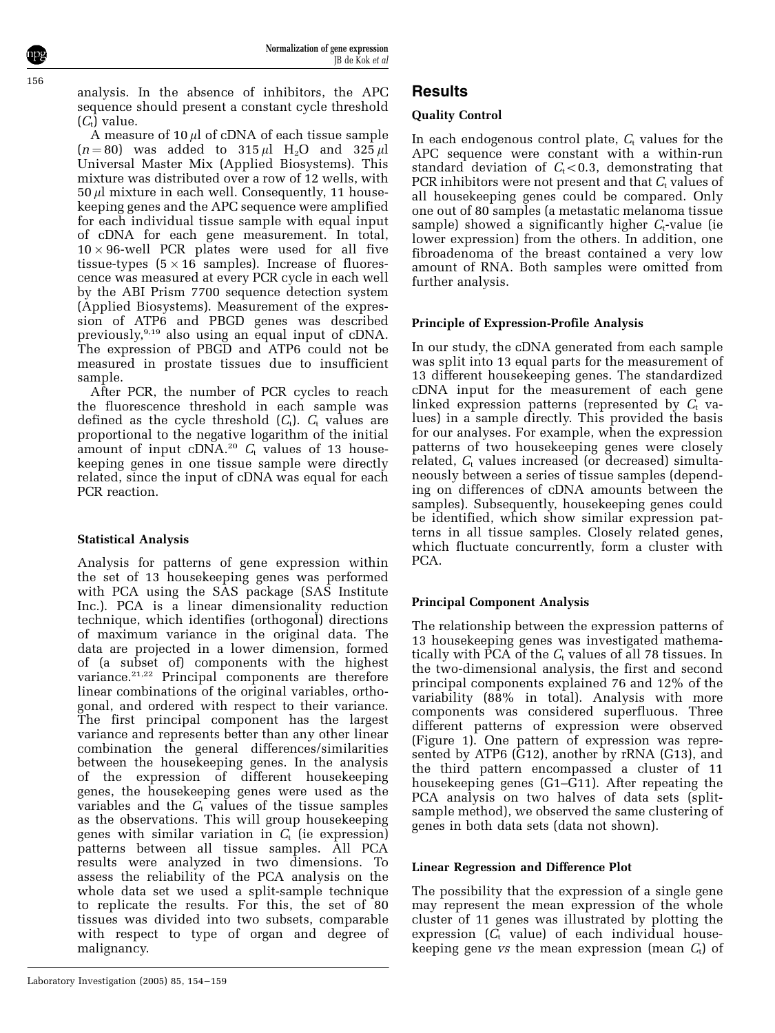analysis. In the absence of inhibitors, the APC sequence should present a constant cycle threshold  $(C_t)$  value.

A measure of  $10 \mu l$  of cDNA of each tissue sample  $(n = 80)$  was added to 315  $\mu$ l H<sub>2</sub>O and 325  $\mu$ l Universal Master Mix (Applied Biosystems). This mixture was distributed over a row of 12 wells, with  $50 \mu l$  mixture in each well. Consequently, 11 housekeeping genes and the APC sequence were amplified for each individual tissue sample with equal input of cDNA for each gene measurement. In total,  $10 \times 96$ -well PCR plates were used for all five tissue-types  $(5 \times 16$  samples). Increase of fluorescence was measured at every PCR cycle in each well by the ABI Prism 7700 sequence detection system (Applied Biosystems). Measurement of the expression of ATP6 and PBGD genes was described previously,9,19 also using an equal input of cDNA. The expression of PBGD and ATP6 could not be measured in prostate tissues due to insufficient sample.

After PCR, the number of PCR cycles to reach the fluorescence threshold in each sample was defined as the cycle threshold  $(C_t)$ .  $C_t$  values are proportional to the negative logarithm of the initial amount of input cDNA.<sup>20</sup>  $C_t$  values of 13 housekeeping genes in one tissue sample were directly related, since the input of cDNA was equal for each PCR reaction.

## Statistical Analysis

Analysis for patterns of gene expression within the set of 13 housekeeping genes was performed with PCA using the SAS package (SAS Institute Inc.). PCA is a linear dimensionality reduction technique, which identifies (orthogonal) directions of maximum variance in the original data. The data are projected in a lower dimension, formed of (a subset of) components with the highest variance.<sup>21,22</sup> Principal components are therefore linear combinations of the original variables, orthogonal, and ordered with respect to their variance. The first principal component has the largest variance and represents better than any other linear combination the general differences/similarities between the housekeeping genes. In the analysis of the expression of different housekeeping genes, the housekeeping genes were used as the variables and the  $C_t$  values of the tissue samples as the observations. This will group housekeeping genes with similar variation in  $C_t$  (ie expression) patterns between all tissue samples. All PCA results were analyzed in two dimensions. To assess the reliability of the PCA analysis on the whole data set we used a split-sample technique to replicate the results. For this, the set of 80 tissues was divided into two subsets, comparable with respect to type of organ and degree of malignancy.

## **Results**

### Quality Control

In each endogenous control plate,  $C_t$  values for the APC sequence were constant with a within-run standard deviation of  $C_t < 0.3$ , demonstrating that PCR inhibitors were not present and that  $C_t$  values of all housekeeping genes could be compared. Only one out of 80 samples (a metastatic melanoma tissue sample) showed a significantly higher  $C_t$ -value (ie lower expression) from the others. In addition, one fibroadenoma of the breast contained a very low amount of RNA. Both samples were omitted from further analysis.

#### Principle of Expression-Profile Analysis

In our study, the cDNA generated from each sample was split into 13 equal parts for the measurement of 13 different housekeeping genes. The standardized cDNA input for the measurement of each gene linked expression patterns (represented by  $C_t$  values) in a sample directly. This provided the basis for our analyses. For example, when the expression patterns of two housekeeping genes were closely related,  $C_t$  values increased (or decreased) simultaneously between a series of tissue samples (depending on differences of cDNA amounts between the samples). Subsequently, housekeeping genes could be identified, which show similar expression patterns in all tissue samples. Closely related genes, which fluctuate concurrently, form a cluster with PCA.

## Principal Component Analysis

The relationship between the expression patterns of 13 housekeeping genes was investigated mathematically with PCA of the  $C_t$  values of all 78 tissues. In the two-dimensional analysis, the first and second principal components explained 76 and 12% of the variability (88% in total). Analysis with more components was considered superfluous. Three different patterns of expression were observed (Figure 1). One pattern of expression was represented by ATP6 (G12), another by rRNA (G13), and the third pattern encompassed a cluster of 11 housekeeping genes (G1–G11). After repeating the PCA analysis on two halves of data sets (splitsample method), we observed the same clustering of genes in both data sets (data not shown).

#### Linear Regression and Difference Plot

The possibility that the expression of a single gene may represent the mean expression of the whole cluster of 11 genes was illustrated by plotting the expression  $(C_t$  value) of each individual housekeeping gene vs the mean expression (mean  $C_t$ ) of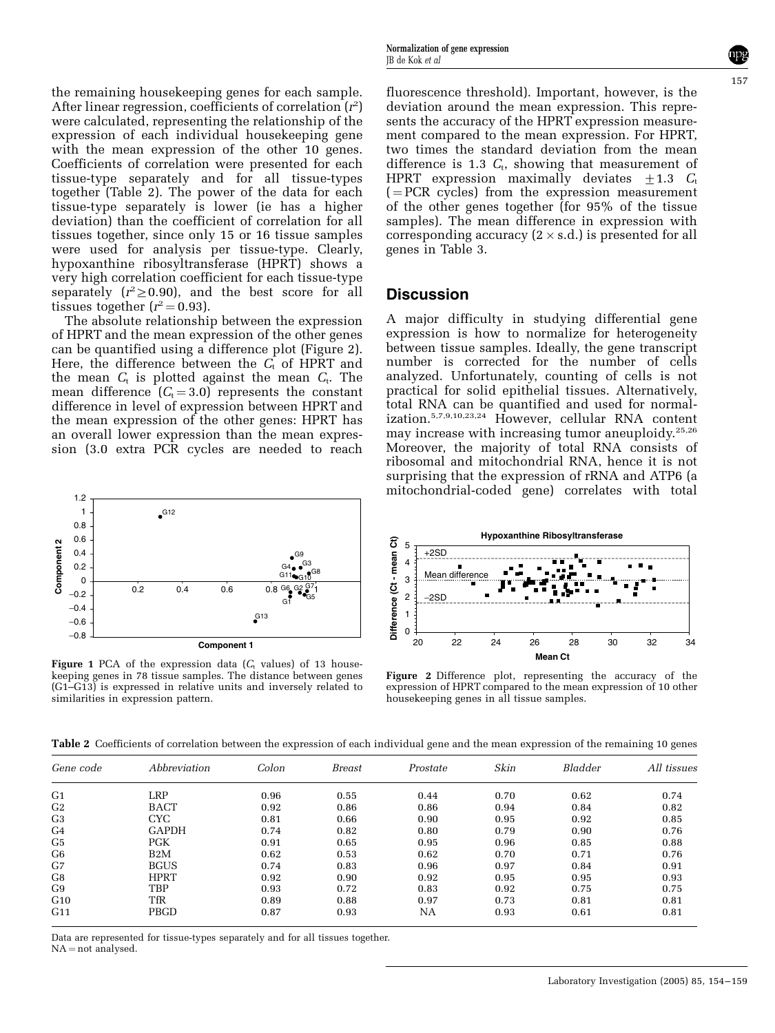the remaining housekeeping genes for each sample. After linear regression, coefficients of correlation  $(r^2)$ were calculated, representing the relationship of the expression of each individual housekeeping gene with the mean expression of the other 10 genes. Coefficients of correlation were presented for each tissue-type separately and for all tissue-types together (Table 2). The power of the data for each tissue-type separately is lower (ie has a higher deviation) than the coefficient of correlation for all tissues together, since only 15 or 16 tissue samples were used for analysis per tissue-type. Clearly, hypoxanthine ribosyltransferase (HPRT) shows a very high correlation coefficient for each tissue-type separately  $(r^2 \ge 0.90)$ , and the best score for all tissues together  $(r^2 = 0.93)$ .

The absolute relationship between the expression of HPRT and the mean expression of the other genes can be quantified using a difference plot (Figure 2). Here, the difference between the  $C_t$  of HPRT and the mean  $C_t$  is plotted against the mean  $C_t$ . The mean difference  $(C_t = 3.0)$  represents the constant difference in level of expression between HPRT and the mean expression of the other genes: HPRT has an overall lower expression than the mean expression (3.0 extra PCR cycles are needed to reach



Figure 1 PCA of the expression data  $(C_t$  values) of 13 housekeeping genes in 78 tissue samples. The distance between genes (G1–G13) is expressed in relative units and inversely related to similarities in expression pattern.

fluorescence threshold). Important, however, is the deviation around the mean expression. This represents the accuracy of the HPRT expression measurement compared to the mean expression. For HPRT, two times the standard deviation from the mean difference is 1.3  $C_t$ , showing that measurement of HPRT expression maximally deviates  $\pm 1.3$  C<sub>t</sub>  $($  = PCR cycles) from the expression measurement of the other genes together (for 95% of the tissue samples). The mean difference in expression with corresponding accuracy (2  $\times$  s.d.) is presented for all genes in Table 3.

#### **Discussion**

A major difficulty in studying differential gene expression is how to normalize for heterogeneity between tissue samples. Ideally, the gene transcript number is corrected for the number of cells analyzed. Unfortunately, counting of cells is not practical for solid epithelial tissues. Alternatively, total RNA can be quantified and used for normalization.5,7,9,10,23,24 However, cellular RNA content may increase with increasing tumor aneuploidy.25,26 Moreover, the majority of total RNA consists of ribosomal and mitochondrial RNA, hence it is not surprising that the expression of rRNA and ATP6 (a mitochondrial-coded gene) correlates with total



Figure 2 Difference plot, representing the accuracy of the expression of HPRT compared to the mean expression of 10 other housekeeping genes in all tissue samples.

Table 2 Coefficients of correlation between the expression of each individual gene and the mean expression of the remaining 10 genes

| Gene code      | Abbreviation | Colon | Breast | Prostate | Skin | Bladder | All tissues |
|----------------|--------------|-------|--------|----------|------|---------|-------------|
| G <sub>1</sub> | LRP          | 0.96  | 0.55   | 0.44     | 0.70 | 0.62    | 0.74        |
| G <sub>2</sub> | <b>BACT</b>  | 0.92  | 0.86   | 0.86     | 0.94 | 0.84    | 0.82        |
| G <sub>3</sub> | <b>CYC</b>   | 0.81  | 0.66   | 0.90     | 0.95 | 0.92    | 0.85        |
| G <sub>4</sub> | <b>GAPDH</b> | 0.74  | 0.82   | 0.80     | 0.79 | 0.90    | 0.76        |
| G <sub>5</sub> | <b>PGK</b>   | 0.91  | 0.65   | 0.95     | 0.96 | 0.85    | 0.88        |
| G6             | B2M          | 0.62  | 0.53   | 0.62     | 0.70 | 0.71    | 0.76        |
| G7             | <b>BGUS</b>  | 0.74  | 0.83   | 0.96     | 0.97 | 0.84    | 0.91        |
| G <sub>8</sub> | <b>HPRT</b>  | 0.92  | 0.90   | 0.92     | 0.95 | 0.95    | 0.93        |
| G <sub>9</sub> | TBP          | 0.93  | 0.72   | 0.83     | 0.92 | 0.75    | 0.75        |
| G10            | TfR          | 0.89  | 0.88   | 0.97     | 0.73 | 0.81    | 0.81        |
| G11            | <b>PBGD</b>  | 0.87  | 0.93   | NA       | 0.93 | 0.61    | 0.81        |

Data are represented for tissue-types separately and for all tissues together.  $NA = not$  analysed.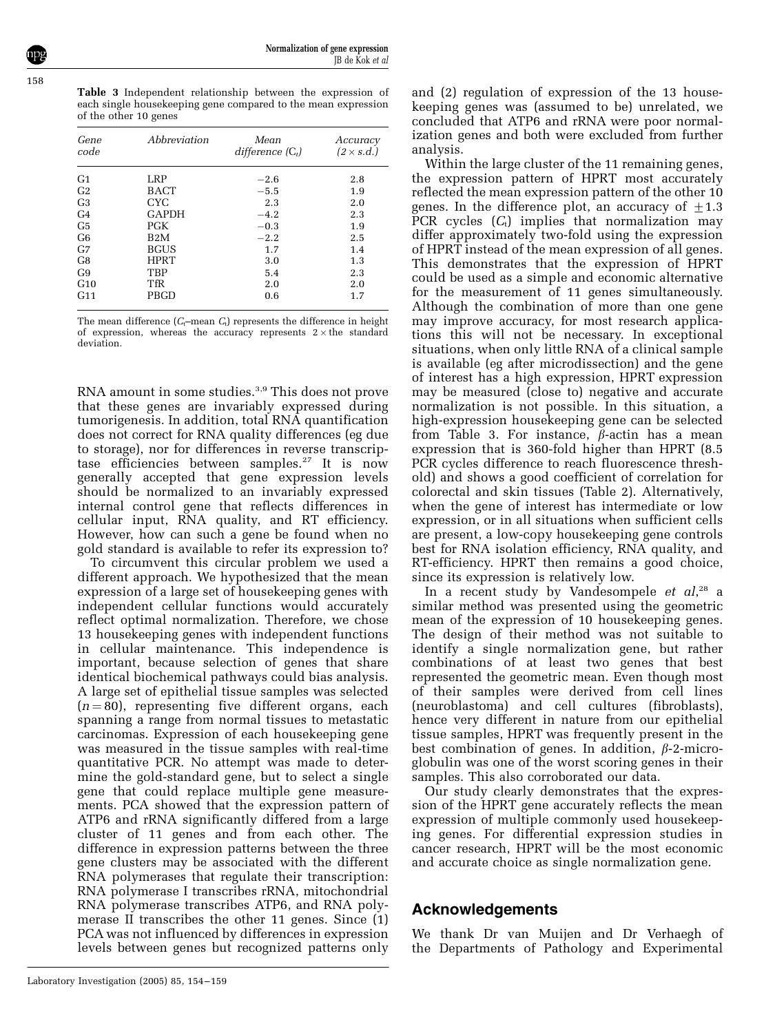158

Table 3 Independent relationship between the expression of each single housekeeping gene compared to the mean expression of the other 10 genes

| Gene<br>code    | Abbreviation     | Mean<br>difference $(C_t)$ | Accuracy<br>$(2 \times s.d.)$ |
|-----------------|------------------|----------------------------|-------------------------------|
| G <sub>1</sub>  | LRP              | $-2.6$                     | 2.8                           |
| G <sub>2</sub>  | BACT             | $-5.5$                     | 1.9                           |
| G <sub>3</sub>  | CYC.             | 2.3                        | 2.0                           |
| G <sub>4</sub>  | <b>GAPDH</b>     | $-4.2$                     | 2.3                           |
| G <sub>5</sub>  | <b>PGK</b>       | $-0.3$                     | 1.9                           |
| G <sub>6</sub>  | B <sub>2</sub> M | $-2.2$                     | 2.5                           |
| G <sub>7</sub>  | <b>BGUS</b>      | 1.7                        | 1.4                           |
| G8              | <b>HPRT</b>      | 3.0                        | 1.3                           |
| G9              | <b>TBP</b>       | 5.4                        | 2.3                           |
| G10             | <b>TfR</b>       | 2.0                        | 2.0                           |
| G <sub>11</sub> | PBGD             | 0.6                        | 1.7                           |

The mean difference  $(C_t$ –mean  $C_t$ ) represents the difference in height of expression, whereas the accuracy represents  $2 \times$  the standard deviation.

RNA amount in some studies.<sup>3,9</sup> This does not prove that these genes are invariably expressed during tumorigenesis. In addition, total RNA quantification does not correct for RNA quality differences (eg due to storage), nor for differences in reverse transcriptase efficiencies between samples.<sup>27</sup> It is now generally accepted that gene expression levels should be normalized to an invariably expressed internal control gene that reflects differences in cellular input, RNA quality, and RT efficiency. However, how can such a gene be found when no gold standard is available to refer its expression to?

To circumvent this circular problem we used a different approach. We hypothesized that the mean expression of a large set of housekeeping genes with independent cellular functions would accurately reflect optimal normalization. Therefore, we chose 13 housekeeping genes with independent functions in cellular maintenance. This independence is important, because selection of genes that share identical biochemical pathways could bias analysis. A large set of epithelial tissue samples was selected  $(n = 80)$ , representing five different organs, each spanning a range from normal tissues to metastatic carcinomas. Expression of each housekeeping gene was measured in the tissue samples with real-time quantitative PCR. No attempt was made to determine the gold-standard gene, but to select a single gene that could replace multiple gene measurements. PCA showed that the expression pattern of ATP6 and rRNA significantly differed from a large cluster of 11 genes and from each other. The difference in expression patterns between the three gene clusters may be associated with the different RNA polymerases that regulate their transcription: RNA polymerase I transcribes rRNA, mitochondrial RNA polymerase transcribes ATP6, and RNA polymerase II transcribes the other 11 genes. Since (1) PCA was not influenced by differences in expression levels between genes but recognized patterns only

and (2) regulation of expression of the 13 housekeeping genes was (assumed to be) unrelated, we concluded that ATP6 and rRNA were poor normalization genes and both were excluded from further analysis.

Within the large cluster of the 11 remaining genes, the expression pattern of HPRT most accurately reflected the mean expression pattern of the other 10 genes. In the difference plot, an accuracy of  $\pm 1.3$ PCR cycles  $(C_t)$  implies that normalization may differ approximately two-fold using the expression of HPRT instead of the mean expression of all genes. This demonstrates that the expression of HPRT could be used as a simple and economic alternative for the measurement of 11 genes simultaneously. Although the combination of more than one gene may improve accuracy, for most research applications this will not be necessary. In exceptional situations, when only little RNA of a clinical sample is available (eg after microdissection) and the gene of interest has a high expression, HPRT expression may be measured (close to) negative and accurate normalization is not possible. In this situation, a high-expression housekeeping gene can be selected from Table 3. For instance,  $\beta$ -actin has a mean expression that is 360-fold higher than HPRT (8.5 PCR cycles difference to reach fluorescence threshold) and shows a good coefficient of correlation for colorectal and skin tissues (Table 2). Alternatively, when the gene of interest has intermediate or low expression, or in all situations when sufficient cells are present, a low-copy housekeeping gene controls best for RNA isolation efficiency, RNA quality, and RT-efficiency. HPRT then remains a good choice, since its expression is relatively low.

In a recent study by Vandesompele et al,<sup>28</sup> a similar method was presented using the geometric mean of the expression of 10 housekeeping genes. The design of their method was not suitable to identify a single normalization gene, but rather combinations of at least two genes that best represented the geometric mean. Even though most of their samples were derived from cell lines (neuroblastoma) and cell cultures (fibroblasts), hence very different in nature from our epithelial tissue samples, HPRT was frequently present in the best combination of genes. In addition,  $\beta$ -2-microglobulin was one of the worst scoring genes in their samples. This also corroborated our data.

Our study clearly demonstrates that the expression of the HPRT gene accurately reflects the mean expression of multiple commonly used housekeeping genes. For differential expression studies in cancer research, HPRT will be the most economic and accurate choice as single normalization gene.

#### Acknowledgements

We thank Dr van Muijen and Dr Verhaegh of the Departments of Pathology and Experimental